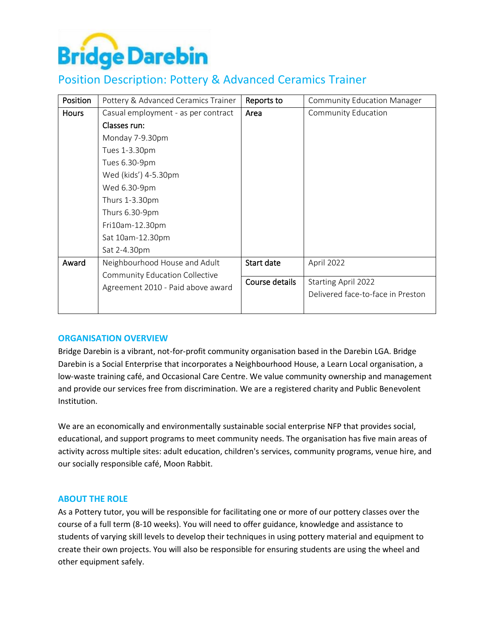

# Position Description: Pottery & Advanced Ceramics Trainer

| Position     | Pottery & Advanced Ceramics Trainer   | Reports to     | <b>Community Education Manager</b> |
|--------------|---------------------------------------|----------------|------------------------------------|
| <b>Hours</b> | Casual employment - as per contract   | Area           | <b>Community Education</b>         |
|              | Classes run:                          |                |                                    |
|              | Monday 7-9.30pm                       |                |                                    |
|              | Tues 1-3.30pm                         |                |                                    |
|              | Tues 6.30-9pm                         |                |                                    |
|              | Wed (kids') 4-5.30pm                  |                |                                    |
|              | Wed 6.30-9pm                          |                |                                    |
|              | Thurs 1-3.30pm                        |                |                                    |
|              | Thurs 6.30-9pm                        |                |                                    |
|              | Fri10am-12.30pm                       |                |                                    |
|              | Sat 10am-12.30pm                      |                |                                    |
|              | Sat 2-4.30pm                          |                |                                    |
| Award        | Neighbourhood House and Adult         | Start date     | April 2022                         |
|              | <b>Community Education Collective</b> |                |                                    |
|              | Agreement 2010 - Paid above award     | Course details | <b>Starting April 2022</b>         |
|              |                                       |                | Delivered face-to-face in Preston  |
|              |                                       |                |                                    |

## **ORGANISATION OVERVIEW**

Bridge Darebin is a vibrant, not-for-profit community organisation based in the Darebin LGA. Bridge Darebin is a Social Enterprise that incorporates a Neighbourhood House, a Learn Local organisation, a low-waste training café, and Occasional Care Centre. We value community ownership and management and provide our services free from discrimination. We are a registered charity and Public Benevolent Institution.

We are an economically and environmentally sustainable social enterprise NFP that provides social, educational, and support programs to meet community needs. The organisation has five main areas of activity across multiple sites: adult education, children's services, community programs, venue hire, and our socially responsible café, Moon Rabbit.

#### **ABOUT THE ROLE**

As a Pottery tutor, you will be responsible for facilitating one or more of our pottery classes over the course of a full term (8-10 weeks). You will need to offer guidance, knowledge and assistance to students of varying skill levels to develop their techniques in using pottery material and equipment to create their own projects. You will also be responsible for ensuring students are using the wheel and other equipment safely.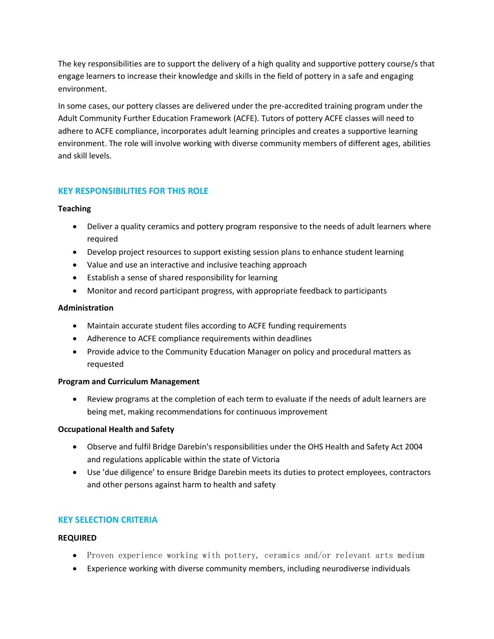The key responsibilities are to support the delivery of a high quality and supportive pottery course/s that engage learners to increase their knowledge and skills in the field of pottery in a safe and engaging environment.

In some cases, our pottery classes are delivered under the pre-accredited training program under the Adult Community Further Education Framework (ACFE). Tutors of pottery ACFE classes will need to adhere to ACFE compliance, incorporates adult learning principles and creates a supportive learning environment. The role will involve working with diverse community members of different ages, abilities and skill levels.

# **KEY RESPONSIBILITIES FOR THIS ROLE**

#### **Teaching**

- Deliver a quality ceramics and pottery program responsive to the needs of adult learners where required
- Develop project resources to support existing session plans to enhance student learning
- Value and use an interactive and inclusive teaching approach
- Establish a sense of shared responsibility for learning
- Monitor and record participant progress, with appropriate feedback to participants

## **Administration**

- Maintain accurate student files according to ACFE funding requirements
- Adherence to ACFE compliance requirements within deadlines
- Provide advice to the Community Education Manager on policy and procedural matters as requested

#### **Program and Curriculum Management**

• Review programs at the completion of each term to evaluate if the needs of adult learners are being met, making recommendations for continuous improvement

#### **Occupational Health and Safety**

- Observe and fulfil Bridge Darebin's responsibilities under the OHS Health and Safety Act 2004 and regulations applicable within the state of Victoria
- Use 'due diligence' to ensure Bridge Darebin meets its duties to protect employees, contractors and other persons against harm to health and safety

## **KEY SELECTION CRITERIA**

#### **REQUIRED**

- Proven experience working with pottery, ceramics and/or relevant arts medium
- Experience working with diverse community members, including neurodiverse individuals